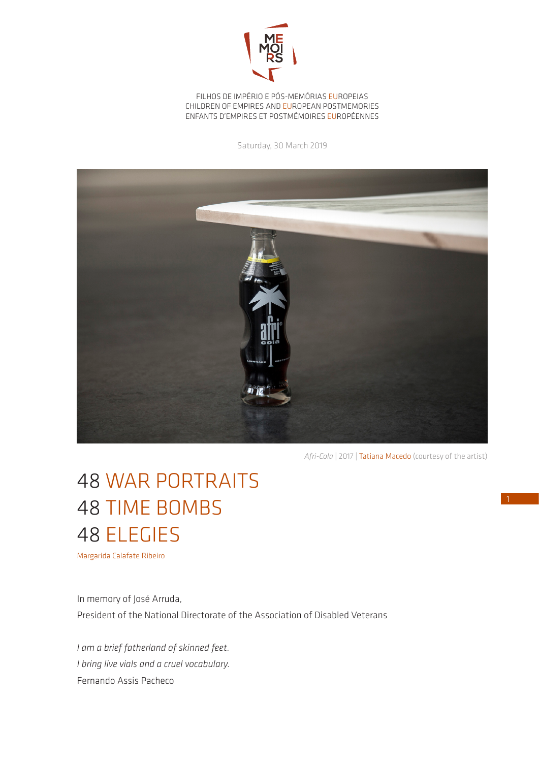

FILHOS DE IMPÉRIO E PÓS-MEMÓRIAS EUROPEIAS CHILDREN OF EMPIRES AND EUROPEAN POSTMEMORIES ENFANTS D'EMPIRES ET POSTMÉMOIRES EUROPÉENNES

Saturday, 30 March 2019



*Afri-Cola* | 2017 | Tatiana Macedo (courtesy of the artist)

## 48 WAR PORTRAITS 48 TIME BOMBS 48 ELEGIES

Margarida Calafate Ribeiro

In memory of José Arruda, President of the National Directorate of the Association of Disabled Veterans

*I am a brief fatherland of skinned feet. I bring live vials and a cruel vocabulary.* Fernando Assis Pacheco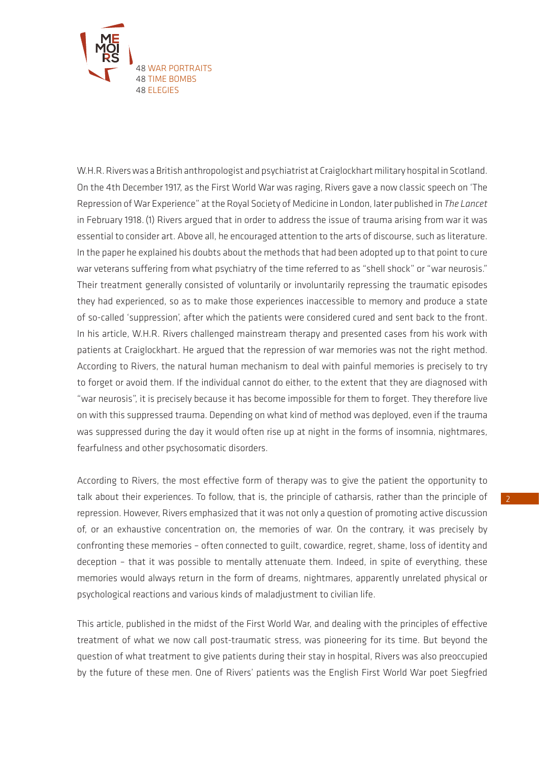

W.H.R. Rivers was a British anthropologist and psychiatrist at Craiglockhart military hospital in Scotland. On the 4th December 1917, as the First World War was raging, Rivers gave a now classic speech on 'The Repression of War Experience" at the Royal Society of Medicine in London, later published in *The Lancet* in February 1918.(1) Rivers argued that in order to address the issue of trauma arising from war it was essential to consider art. Above all, he encouraged attention to the arts of discourse, such as literature. In the paper he explained his doubts about the methods that had been adopted up to that point to cure war veterans suffering from what psychiatry of the time referred to as "shell shock" or "war neurosis." Their treatment generally consisted of voluntarily or involuntarily repressing the traumatic episodes they had experienced, so as to make those experiences inaccessible to memory and produce a state of so-called 'suppression', after which the patients were considered cured and sent back to the front. In his article, W.H.R. Rivers challenged mainstream therapy and presented cases from his work with patients at Craiglockhart. He argued that the repression of war memories was not the right method. According to Rivers, the natural human mechanism to deal with painful memories is precisely to try to forget or avoid them. If the individual cannot do either, to the extent that they are diagnosed with "war neurosis", it is precisely because it has become impossible for them to forget. They therefore live on with this suppressed trauma. Depending on what kind of method was deployed, even if the trauma was suppressed during the day it would often rise up at night in the forms of insomnia, nightmares, fearfulness and other psychosomatic disorders.

According to Rivers, the most effective form of therapy was to give the patient the opportunity to talk about their experiences. To follow, that is, the principle of catharsis, rather than the principle of repression. However, Rivers emphasized that it was not only a question of promoting active discussion of, or an exhaustive concentration on, the memories of war. On the contrary, it was precisely by confronting these memories – often connected to guilt, cowardice, regret, shame, loss of identity and deception – that it was possible to mentally attenuate them. Indeed, in spite of everything, these memories would always return in the form of dreams, nightmares, apparently unrelated physical or psychological reactions and various kinds of maladjustment to civilian life.

This article, published in the midst of the First World War, and dealing with the principles of effective treatment of what we now call post-traumatic stress, was pioneering for its time. But beyond the question of what treatment to give patients during their stay in hospital, Rivers was also preoccupied by the future of these men. One of Rivers' patients was the English First World War poet Siegfried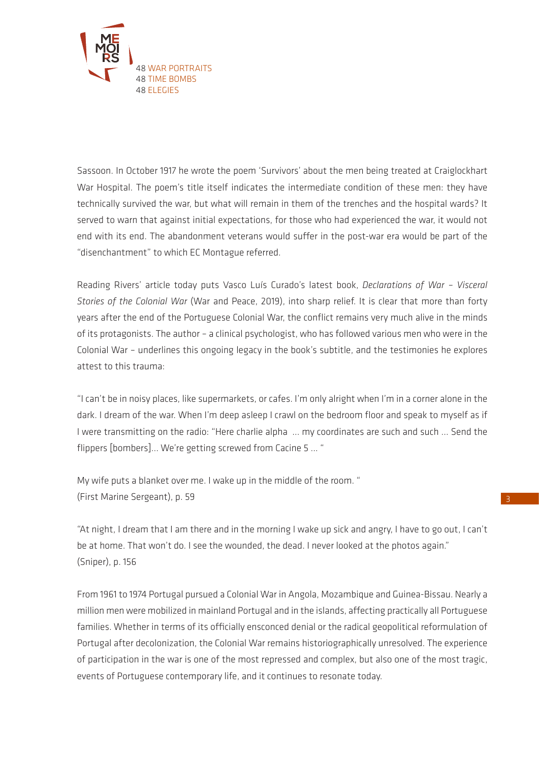

Sassoon. In October 1917 he wrote the poem 'Survivors' about the men being treated at Craiglockhart War Hospital. The poem's title itself indicates the intermediate condition of these men: they have technically survived the war, but what will remain in them of the trenches and the hospital wards? It served to warn that against initial expectations, for those who had experienced the war, it would not end with its end. The abandonment veterans would suffer in the post-war era would be part of the "disenchantment" to which EC Montague referred.

Reading Rivers' article today puts Vasco Luís Curado's latest book, *Declarations of War – Visceral Stories of the Colonial War* (War and Peace, 2019), into sharp relief. It is clear that more than forty years after the end of the Portuguese Colonial War, the conflict remains very much alive in the minds of its protagonists. The author – a clinical psychologist, who has followed various men who were in the Colonial War – underlines this ongoing legacy in the book's subtitle, and the testimonies he explores attest to this trauma:

"I can't be in noisy places, like supermarkets, or cafes. I'm only alright when I'm in a corner alone in the dark. I dream of the war. When I'm deep asleep I crawl on the bedroom floor and speak to myself as if I were transmitting on the radio: "Here charlie alpha ... my coordinates are such and such ... Send the flippers [bombers]... We're getting screwed from Cacine 5 ... "

My wife puts a blanket over me. I wake up in the middle of the room. " (First Marine Sergeant), p. 59

"At night, I dream that I am there and in the morning I wake up sick and angry, I have to go out, I can't be at home. That won't do. I see the wounded, the dead. I never looked at the photos again." (Sniper), p. 156

From 1961 to 1974 Portugal pursued a Colonial War in Angola, Mozambique and Guinea-Bissau. Nearly a million men were mobilized in mainland Portugal and in the islands, affecting practically all Portuguese families. Whether in terms of its officially ensconced denial or the radical geopolitical reformulation of Portugal after decolonization, the Colonial War remains historiographically unresolved. The experience of participation in the war is one of the most repressed and complex, but also one of the most tragic, events of Portuguese contemporary life, and it continues to resonate today.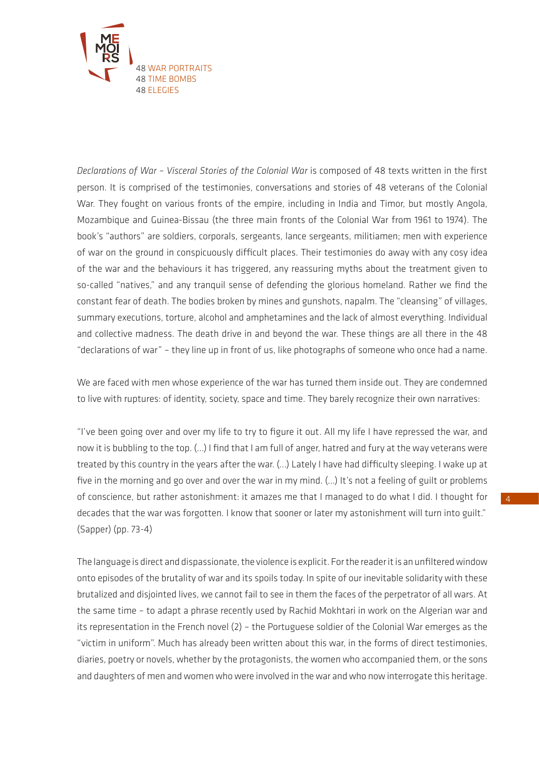

*Declarations of War – Visceral Stories of the Colonial War* is composed of 48 texts written in the first person. It is comprised of the testimonies, conversations and stories of 48 veterans of the Colonial War. They fought on various fronts of the empire, including in India and Timor, but mostly Angola, Mozambique and Guinea-Bissau (the three main fronts of the Colonial War from 1961 to 1974). The book's "authors" are soldiers, corporals, sergeants, lance sergeants, militiamen; men with experience of war on the ground in conspicuously difficult places. Their testimonies do away with any cosy idea of the war and the behaviours it has triggered, any reassuring myths about the treatment given to so-called "natives," and any tranquil sense of defending the glorious homeland. Rather we find the constant fear of death. The bodies broken by mines and gunshots, napalm. The "cleansing" of villages, summary executions, torture, alcohol and amphetamines and the lack of almost everything. Individual and collective madness. The death drive in and beyond the war. These things are all there in the 48 "declarations of war" – they line up in front of us, like photographs of someone who once had a name.

We are faced with men whose experience of the war has turned them inside out. They are condemned to live with ruptures: of identity, society, space and time. They barely recognize their own narratives:

"I've been going over and over my life to try to figure it out. All my life I have repressed the war, and now it is bubbling to the top. (...) I find that I am full of anger, hatred and fury at the way veterans were treated by this country in the years after the war. (...) Lately I have had difficulty sleeping. I wake up at five in the morning and go over and over the war in my mind. (...) It's not a feeling of guilt or problems of conscience, but rather astonishment: it amazes me that I managed to do what I did. I thought for decades that the war was forgotten. I know that sooner or later my astonishment will turn into guilt." (Sapper) (pp. 73-4)

The language is direct and dispassionate, the violence is explicit. For the reader it is an unfiltered window onto episodes of the brutality of war and its spoils today. In spite of our inevitable solidarity with these brutalized and disjointed lives, we cannot fail to see in them the faces of the perpetrator of all wars. At the same time – to adapt a phrase recently used by Rachid Mokhtari in work on the Algerian war and its representation in the French novel (2) – the Portuguese soldier of the Colonial War emerges as the "victim in uniform". Much has already been written about this war, in the forms of direct testimonies, diaries, poetry or novels, whether by the protagonists, the women who accompanied them, or the sons and daughters of men and women who were involved in the war and who now interrogate this heritage.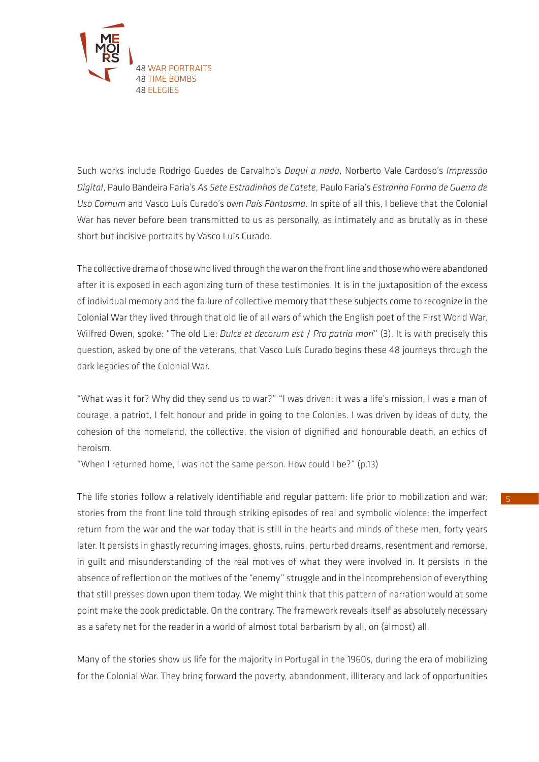

Such works include Rodrigo Guedes de Carvalho's *Daqui a nada*, Norberto Vale Cardoso's *Impressão Digital*, Paulo Bandeira Faria's *As Sete Estradinhas de Catete*, Paulo Faria's *Estranha Forma de Guerra de Uso Comum* and Vasco Luís Curado's own *País Fantasma*. In spite of all this, I believe that the Colonial War has never before been transmitted to us as personally, as intimately and as brutally as in these short but incisive portraits by Vasco Luís Curado.

The collective drama of those who lived through the war on the front line and those who were abandoned after it is exposed in each agonizing turn of these testimonies. It is in the juxtaposition of the excess of individual memory and the failure of collective memory that these subjects come to recognize in the Colonial War they lived through that old lie of all wars of which the English poet of the First World War, Wilfred Owen, spoke: "The old Lie: *Dulce et decorum est* / *Pro patria mori*" (3). It is with precisely this question, asked by one of the veterans, that Vasco Luís Curado begins these 48 journeys through the dark legacies of the Colonial War.

"What was it for? Why did they send us to war?" "I was driven: it was a life's mission, I was a man of courage, a patriot, I felt honour and pride in going to the Colonies. I was driven by ideas of duty, the cohesion of the homeland, the collective, the vision of dignified and honourable death, an ethics of heroism.

"When I returned home, I was not the same person. How could I be?" (p.13)

The life stories follow a relatively identifiable and regular pattern: life prior to mobilization and war; stories from the front line told through striking episodes of real and symbolic violence; the imperfect return from the war and the war today that is still in the hearts and minds of these men, forty years later. It persists in ghastly recurring images, ghosts, ruins, perturbed dreams, resentment and remorse, in guilt and misunderstanding of the real motives of what they were involved in. It persists in the absence of reflection on the motives of the "enemy" struggle and in the incomprehension of everything that still presses down upon them today. We might think that this pattern of narration would at some point make the book predictable. On the contrary. The framework reveals itself as absolutely necessary as a safety net for the reader in a world of almost total barbarism by all, on (almost) all.

Many of the stories show us life for the majority in Portugal in the 1960s, during the era of mobilizing for the Colonial War. They bring forward the poverty, abandonment, illiteracy and lack of opportunities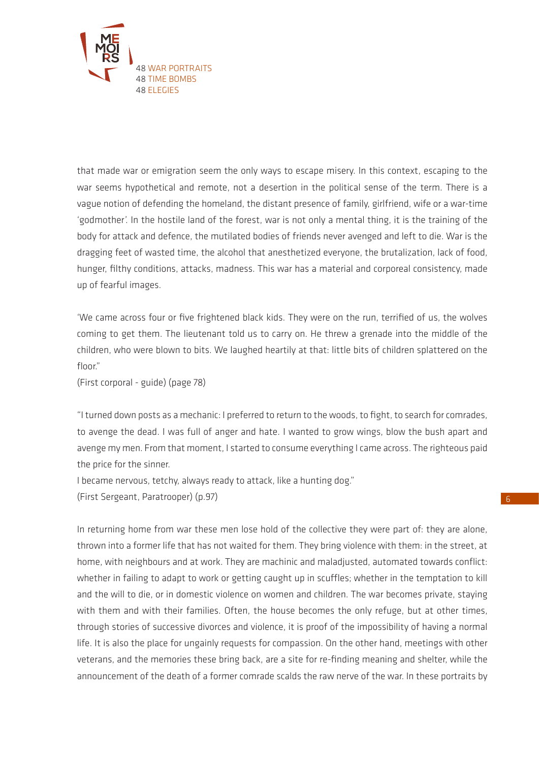

that made war or emigration seem the only ways to escape misery. In this context, escaping to the war seems hypothetical and remote, not a desertion in the political sense of the term. There is a vague notion of defending the homeland, the distant presence of family, girlfriend, wife or a war-time 'godmother'. In the hostile land of the forest, war is not only a mental thing, it is the training of the body for attack and defence, the mutilated bodies of friends never avenged and left to die. War is the dragging feet of wasted time, the alcohol that anesthetized everyone, the brutalization, lack of food, hunger, filthy conditions, attacks, madness. This war has a material and corporeal consistency, made up of fearful images.

'We came across four or five frightened black kids. They were on the run, terrified of us, the wolves coming to get them. The lieutenant told us to carry on. He threw a grenade into the middle of the children, who were blown to bits. We laughed heartily at that: little bits of children splattered on the floor"

(First corporal - guide) (page 78)

"I turned down posts as a mechanic: I preferred to return to the woods, to fight, to search for comrades, to avenge the dead. I was full of anger and hate. I wanted to grow wings, blow the bush apart and avenge my men. From that moment, I started to consume everything I came across. The righteous paid the price for the sinner.

I became nervous, tetchy, always ready to attack, like a hunting dog."

(First Sergeant, Paratrooper) (p.97)

In returning home from war these men lose hold of the collective they were part of: they are alone, thrown into a former life that has not waited for them. They bring violence with them: in the street, at home, with neighbours and at work. They are machinic and maladjusted, automated towards conflict: whether in failing to adapt to work or getting caught up in scuffles; whether in the temptation to kill and the will to die, or in domestic violence on women and children. The war becomes private, staying with them and with their families. Often, the house becomes the only refuge, but at other times, through stories of successive divorces and violence, it is proof of the impossibility of having a normal life. It is also the place for ungainly requests for compassion. On the other hand, meetings with other veterans, and the memories these bring back, are a site for re-finding meaning and shelter, while the announcement of the death of a former comrade scalds the raw nerve of the war. In these portraits by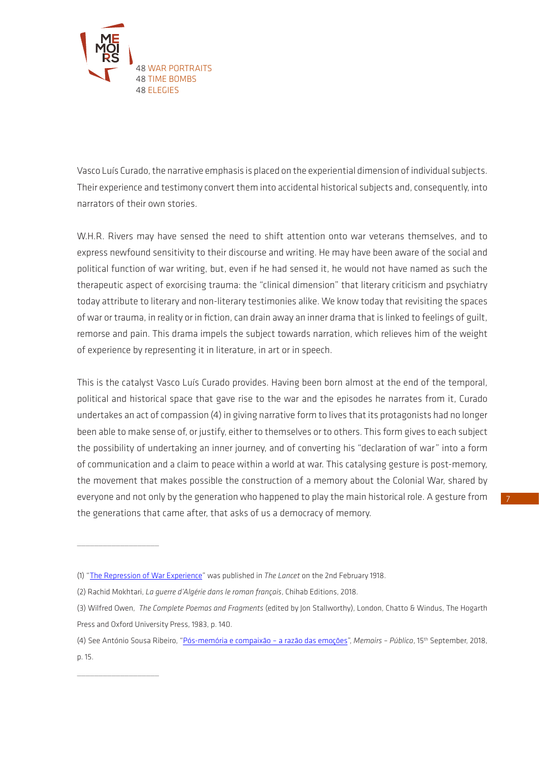

Vasco Luís Curado, the narrative emphasis is placed on the experiential dimension of individual subjects. Their experience and testimony convert them into accidental historical subjects and, consequently, into narrators of their own stories.

W.H.R. Rivers may have sensed the need to shift attention onto war veterans themselves, and to express newfound sensitivity to their discourse and writing. He may have been aware of the social and political function of war writing, but, even if he had sensed it, he would not have named as such the therapeutic aspect of exorcising trauma: the "clinical dimension" that literary criticism and psychiatry today attribute to literary and non-literary testimonies alike. We know today that revisiting the spaces of war or trauma, in reality or in fiction, can drain away an inner drama that is linked to feelings of guilt, remorse and pain. This drama impels the subject towards narration, which relieves him of the weight of experience by representing it in literature, in art or in speech.

This is the catalyst Vasco Luís Curado provides. Having been born almost at the end of the temporal, political and historical space that gave rise to the war and the episodes he narrates from it, Curado undertakes an act of compassion (4) in giving narrative form to lives that its protagonists had no longer been able to make sense of, or justify, either to themselves or to others. This form gives to each subject the possibility of undertaking an inner journey, and of converting his "declaration of war" into a form of communication and a claim to peace within a world at war. This catalysing gesture is post-memory, the movement that makes possible the construction of a memory about the Colonial War, shared by everyone and not only by the generation who happened to play the main historical role. A gesture from the generations that came after, that asks of us a democracy of memory.

 $\overline{\phantom{a}}$  , where  $\overline{\phantom{a}}$ 

 $\overline{\phantom{a}}$  , where  $\overline{\phantom{a}}$ 

<sup>(1) &</sup>quot;[The Repression of War Experience"](http://www.gwpda.org/comment/rivers.htm) was published in *The Lancet* on the 2nd February 1918.

<sup>(2)</sup> Rachid Mokhtari, *La guerre d'Algérie dans le roman français*, Chihab Editions, 2018.

<sup>(3)</sup> Wilfred Owen, *The Complete Poemas and Fragments* (edited by Jon Stallworthy), London, Chatto & Windus, The Hogarth Press and Oxford University Press, 1983, p. 140.

<sup>(4)</sup> See António Sousa Ribeiro, ["Pós-memória e compaixão – a razão das emoções](http://memoirs.ces.uc.pt/index.php?id=22153&id_lingua=1&pag=22637)", *Memoirs – Público*, 15th September, 2018, p. 15.